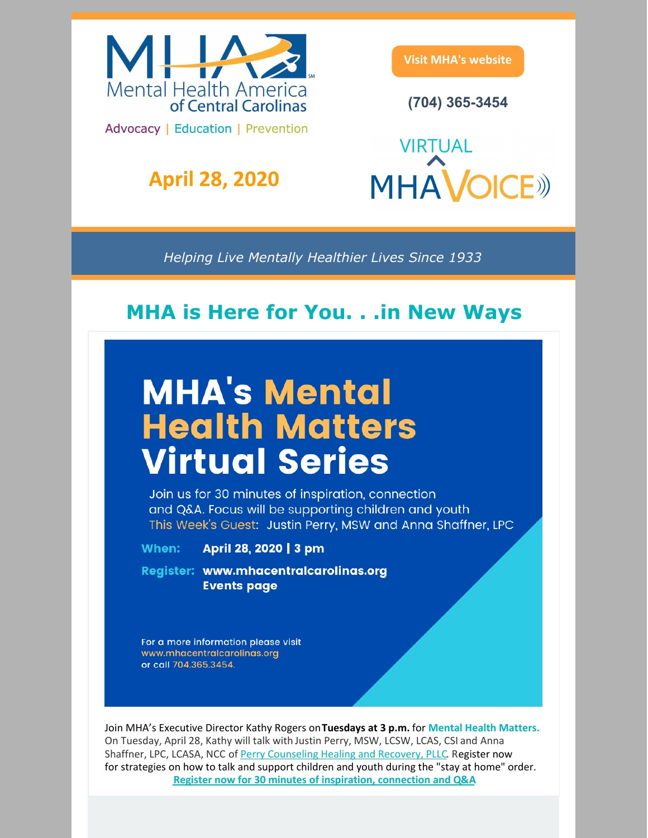

## **April 28, 2020**

**Visit MHA's [website](https://www.mhacentralcarolinas.org/)**

**(704) 365-3454**

**VIRTUAL MHAVOICE** 

*Helping Live Mentally Healthier Lives Since 1933*

## **MHA is Here for You. . .in New Ways**

# **MHA's Mental Health Matters Virtual Series**

Join us for 30 minutes of inspiration, connection and Q&A. Focus will be supporting children and youth This Week's Guest: Justin Perry, MSW and Anna Shaffner, LPC

When:

April 28, 2020 | 3 pm

Register: www.mhacentralcarolinas.org **Events page** 

For a more information please visit www.mhacentralcarolinas.org or call 704.365.3454.

Join MHA's Executive Director Kathy Rogers on**Tuesdays at 3 p.m.** for **Mental Health Matters.** On Tuesday, April 28, Kathy will talk with Justin Perry, MSW, [LCSW,](https://justinperrycounseling.com/about-justin) LCAS, CSI and Anna Shaffner, LPC, LCASA, NCC of Perry [Counseling](https://justinperrycounseling.com/) Healing and Recovery, PLLC. Register now for strategies on how to talk and support children and youth during the "stay at home" order. **Register now for 30 minutes of [inspiration,](https://app.etapestry.com/cart/MentalHealthAssociationofC_2/default/category.php?ref=418.0.773011525) connection and Q&A**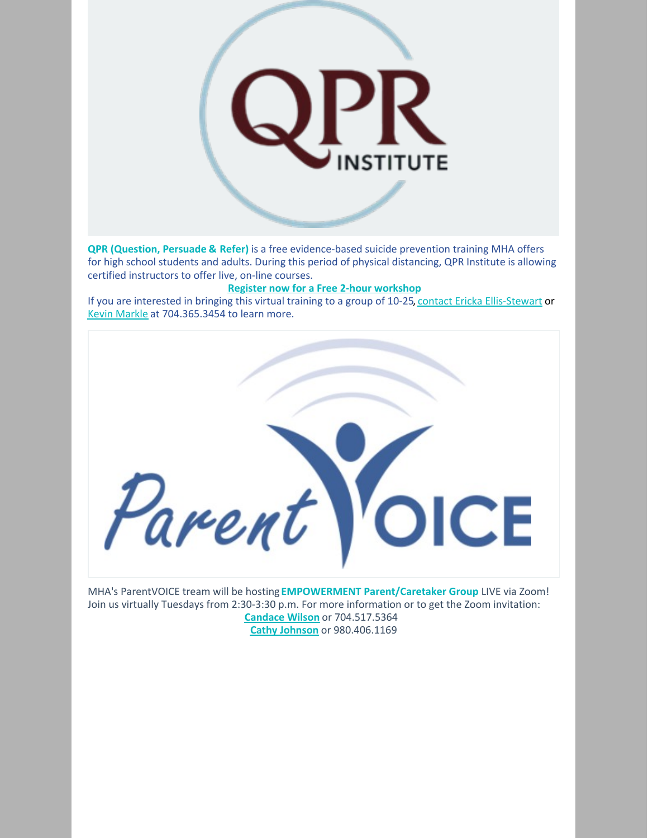

**QPR (Question, Persuade & Refer)** is a free evidence-based suicide prevention training MHA offers for high school students and adults. During this period of physical distancing, QPR Institute is allowing certified instructors to offer live, on-line courses.

#### **Register now for a Free 2-hour [workshop](https://app.etapestry.com/cart/MentalHealthAssociationofC_2/default/category.php?ref=1801.0.214131783)**

If you are interested in bringing this virtual training to a group of 10-25, contact Ericka [Ellis-Stewart](mailto:eellis-stewart@mhacentralcarolinas.org) or Kevin [Markle](mailto:kmarkle@mhacentralcarolinas.org) at 704.365.3454 to learn more.



MHA's ParentVOICE tream will be hosting **EMPOWERMENT Parent/Caretaker Group** LIVE via Zoom! Join us virtually Tuesdays from 2:30-3:30 p.m. For more information or to get the Zoom invitation: **[Candace](mailto:cwilson@mhacentralcarolinas.org) Wilson** or 704.517.5364 **Cathy [Johnson](mailto:cjohnson@mhacentralcarolinas.org)** or 980.406.1169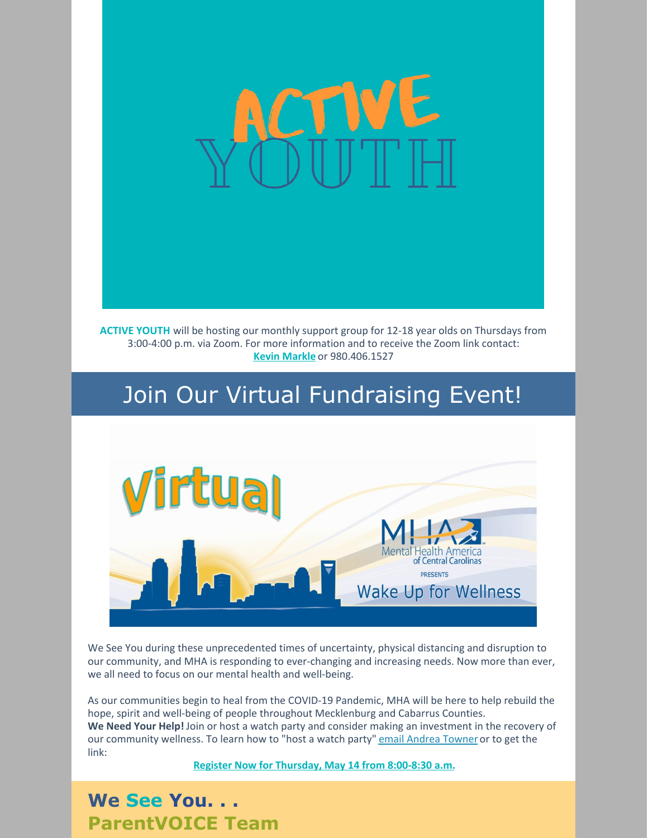

**ACTIVE YOUTH** will be hosting our monthly support group for 12-18 year olds on Thursdays from 3:00-4:00 p.m. via Zoom. For more information and to receive the Zoom link contact: **Kevin [Markle](mailto:kmarkle@mhacentralcarolinas.org)** or 980.406.1527

# Join Our Virtual Fundraising Event!



We See You during these unprecedented times of uncertainty, physical distancing and disruption to our community, and MHA is responding to ever-changing and increasing needs. Now more than ever, we all need to focus on our mental health and well-being.

As our communities begin to heal from the COVID-19 Pandemic, MHA will be here to help rebuild the hope, spirit and well-being of people throughout Mecklenburg and Cabarrus Counties. **We Need Your Help!** Join or host a watch party and consider making an investment in the recovery of our community wellness. To learn how to "host a watch party" email [Andrea](mailto:atowner@mhacentralcarolinas.org) Towner or to get the link:

**Register Now for [Thursday,](https://app.etapestry.com/cart/MentalHealthAssociationofC_2/default/category.php?ref=418.0.36180013) May 14 from 8:00-8:30 a.m.**

**We See You. . . ParentVOICE Team**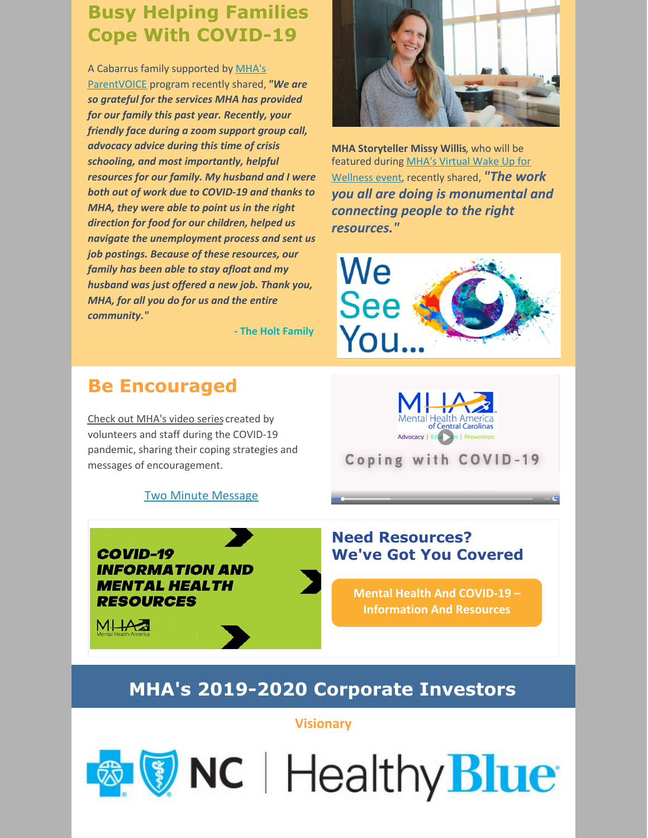## **Busy Helping Families Cope With COVID-19**

A Cabarrus family supported by MHA's [ParentVOICE](https://www.mhacentralcarolinas.org/ParentVOICE.cfm) program recently shared, *"We are so grateful for the services MHA has provided for our family this past year. Recently, your friendly face during a zoom support group call, advocacy advice during this time of crisis schooling, and most importantly, helpful resources for our family. My husband and I were both out of work due to COVID-19 and thanks to MHA, they were able to point us in the right direction for food for our children, helped us navigate the unemployment process and sent us job postings. Because of these resources, our family has been able to stay afloat and my husband was just offered a new job. Thank you, MHA, for all you do for us and the entire community."*

**- The Holt Family**

## **Be Encouraged**

Check out [MHA's](https://www.facebook.com/pg/Mental-Health-America-of-Central-Carolinas-MHA-129550187112894/videos/?ref=page_internal) video series created by volunteers and staff during the COVID-19 pandemic, sharing their coping strategies and messages of encouragement.

Two Minute [Message](https://www.facebook.com/129550187112894/videos/606248243299486/)

**COVID-19 INFORMATION AND MENTAL HEALTH RESOURCES** 

**MILAZE** 

#### **Need Resources? We've Got You Covered**

**Mental Health And COVID-19 – [Information](https://mhanational.org/covid19?fbclid=IwAR2OA8QMBCXNUg5tuEYU0gXfZegsjxU81183mOFyHxJlx9ABJB3qcJHtIZg) And Resources**

## **MHA's 2019-2020 Corporate Investors**

**Visionary**

**& V NC** | Healthy Blue



**MHA Storyteller Missy Willis**, who will be featured during MHA's Virtual Wake Up for [Wellness](https://app.etapestry.com/cart/MentalHealthAssociationofC_2/default/category.php?ref=418.0.36180013) event, recently shared, *"The work you all are doing is monumental and connecting people to the right resources."*





Coping with COVID-19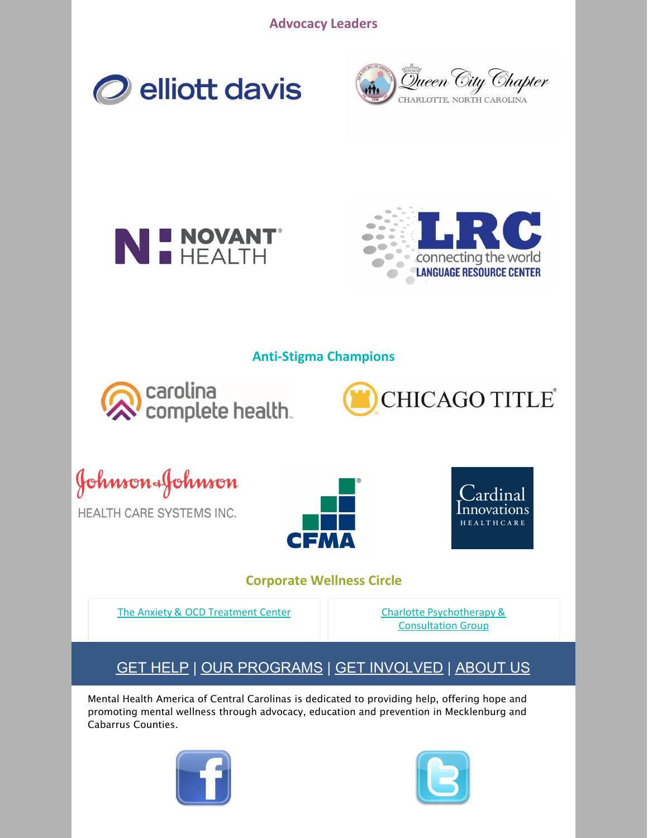**Advocacy Leaders**









#### **Anti-Stigma Champions**







HEALTH CARE SYSTEMS INC.





#### **Corporate Wellness Circle**

The Anxiety & OCD [Treatment](https://www.anxietyandocdtreatmentcenter.com/) Center Charlotte [Psychotherapy](http://www.charlottepsychotherapy.com/) &

[Consultation](http://www.charlottepsychotherapy.com/) Group

### GET [HELP](https://www.mhacentralcarolinas.org/gethelp.cfm) | OUR [PROGRAMS](https://www.mhacentralcarolinas.org/programsoverview.cfm) | GET [INVOLVED](https://www.mhacentralcarolinas.org/getinvolved.cfm) | [ABOUT](https://www.mhacentralcarolinas.org/aboutmhacc.cfm) US

Mental Health America of Central Carolinas is dedicated to providing help, offering hope and promoting mental wellness through advocacy, education and prevention in Mecklenburg and Cabarrus Counties.